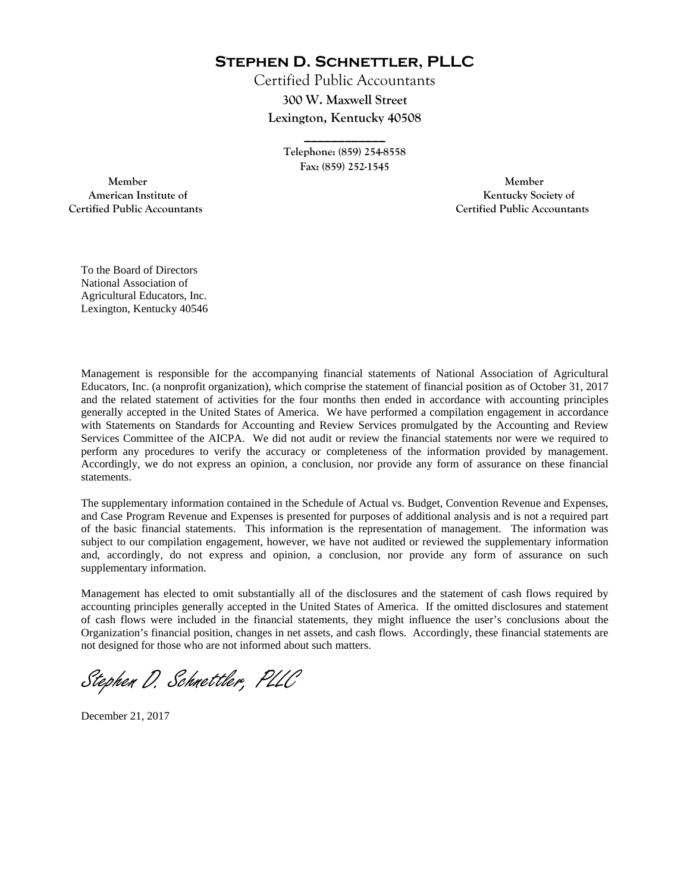**Stephen D. Schnettler, PLLC**

Certified Public Accountants **300 W. Maxwell Street Lexington, Kentucky 40508** 

> **Telephone: (859) 254-8558 Fax: (859) 252-1545**

**\_\_\_\_\_\_\_\_\_\_\_\_** 

 **Member Member Certified Public Accountants Certified Public Accountants** 

American Institute of **Kentucky Society of** 

To the Board of Directors National Association of Agricultural Educators, Inc. Lexington, Kentucky 40546

Management is responsible for the accompanying financial statements of National Association of Agricultural Educators, Inc. (a nonprofit organization), which comprise the statement of financial position as of October 31, 2017 and the related statement of activities for the four months then ended in accordance with accounting principles generally accepted in the United States of America. We have performed a compilation engagement in accordance with Statements on Standards for Accounting and Review Services promulgated by the Accounting and Review Services Committee of the AICPA. We did not audit or review the financial statements nor were we required to perform any procedures to verify the accuracy or completeness of the information provided by management. Accordingly, we do not express an opinion, a conclusion, nor provide any form of assurance on these financial statements.

The supplementary information contained in the Schedule of Actual vs. Budget, Convention Revenue and Expenses, and Case Program Revenue and Expenses is presented for purposes of additional analysis and is not a required part of the basic financial statements. This information is the representation of management. The information was subject to our compilation engagement, however, we have not audited or reviewed the supplementary information and, accordingly, do not express and opinion, a conclusion, nor provide any form of assurance on such supplementary information.

Management has elected to omit substantially all of the disclosures and the statement of cash flows required by accounting principles generally accepted in the United States of America. If the omitted disclosures and statement of cash flows were included in the financial statements, they might influence the user's conclusions about the Organization's financial position, changes in net assets, and cash flows. Accordingly, these financial statements are not designed for those who are not informed about such matters.

Stephen D. Schnettler, PLLC

December 21, 2017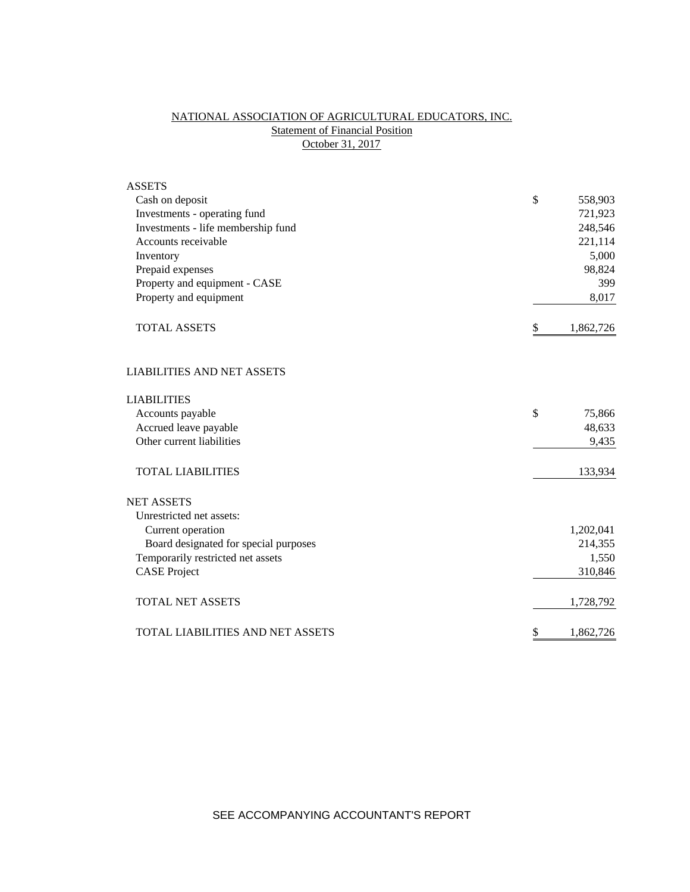# NATIONAL ASSOCIATION OF AGRICULTURAL EDUCATORS, INC. **Statement of Financial Position** October 31, 2017

| <b>ASSETS</b>                         |                 |
|---------------------------------------|-----------------|
| Cash on deposit                       | \$<br>558,903   |
| Investments - operating fund          | 721,923         |
| Investments - life membership fund    | 248,546         |
| Accounts receivable                   | 221,114         |
| Inventory                             | 5,000           |
| Prepaid expenses                      | 98,824          |
| Property and equipment - CASE         | 399             |
| Property and equipment                | 8,017           |
| <b>TOTAL ASSETS</b>                   | \$<br>1,862,726 |
| <b>LIABILITIES AND NET ASSETS</b>     |                 |
| <b>LIABILITIES</b>                    |                 |
| Accounts payable                      | \$<br>75,866    |
| Accrued leave payable                 | 48,633          |
| Other current liabilities             | 9,435           |
| <b>TOTAL LIABILITIES</b>              | 133,934         |
| <b>NET ASSETS</b>                     |                 |
| Unrestricted net assets:              |                 |
| Current operation                     | 1,202,041       |
| Board designated for special purposes | 214,355         |
| Temporarily restricted net assets     | 1,550           |
| <b>CASE Project</b>                   | 310,846         |
| <b>TOTAL NET ASSETS</b>               | 1,728,792       |
| TOTAL LIABILITIES AND NET ASSETS      | \$<br>1,862,726 |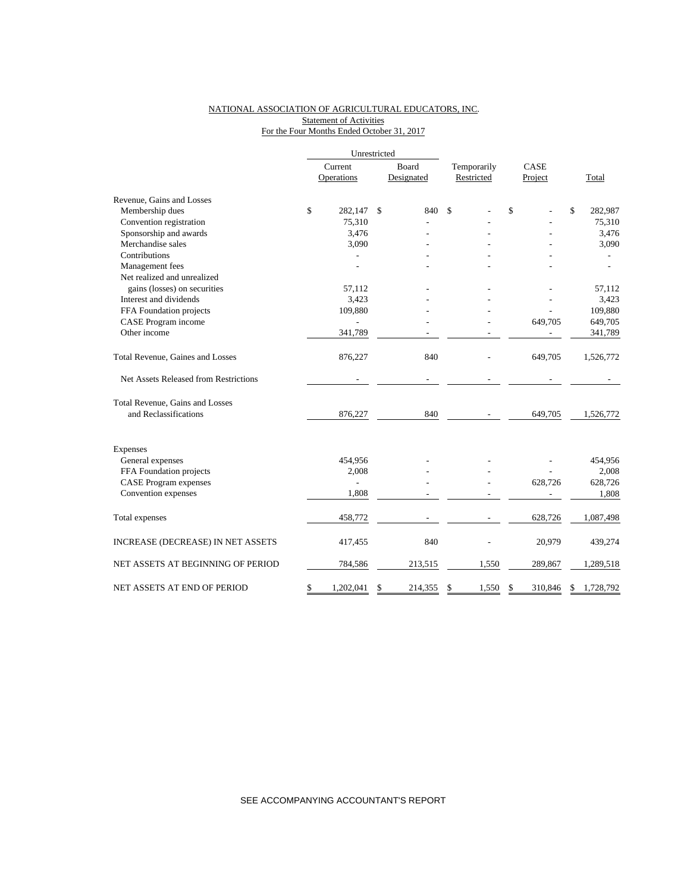### NATIONAL ASSOCIATION OF AGRICULTURAL EDUCATORS, INC. **Statement of Activities** For the Four Months Ended October 31, 2017

|                                       | Unrestricted |                |    |                   |             |               |                 |
|---------------------------------------|--------------|----------------|----|-------------------|-------------|---------------|-----------------|
|                                       |              | Current        |    | Board             | Temporarily | CASE          |                 |
|                                       |              | Operations     |    | Designated        | Restricted  | Project       | Total           |
| Revenue, Gains and Losses             |              |                |    |                   |             |               |                 |
| Membership dues                       | \$           | 282,147        | \$ | 840               | \$          | \$            | \$<br>282,987   |
| Convention registration               |              | 75,310         |    |                   |             |               | 75,310          |
| Sponsorship and awards                |              | 3.476          |    |                   |             |               | 3,476           |
| Merchandise sales                     |              | 3,090          |    |                   |             |               | 3,090           |
| Contributions                         |              |                |    |                   |             |               |                 |
| Management fees                       |              |                |    |                   |             |               |                 |
| Net realized and unrealized           |              |                |    |                   |             |               |                 |
| gains (losses) on securities          |              | 57.112         |    |                   |             |               | 57,112          |
| Interest and dividends                |              | 3,423          |    |                   |             |               | 3,423           |
| FFA Foundation projects               |              | 109,880        |    |                   |             |               | 109,880         |
| CASE Program income                   |              |                |    |                   |             | 649,705       | 649,705         |
| Other income                          |              | 341,789        |    |                   |             |               | 341,789         |
| Total Revenue, Gaines and Losses      |              | 876,227        |    | 840               |             | 649,705       | 1,526,772       |
| Net Assets Released from Restrictions |              |                |    | $\qquad \qquad -$ |             |               |                 |
| Total Revenue, Gains and Losses       |              |                |    |                   |             |               |                 |
| and Reclassifications                 |              | 876,227        |    | 840               |             | 649,705       | 1,526,772       |
| <b>Expenses</b>                       |              |                |    |                   |             |               |                 |
| General expenses                      |              | 454,956        |    |                   |             |               | 454,956         |
| FFA Foundation projects               |              | 2,008          |    |                   |             |               | 2,008           |
| <b>CASE Program expenses</b>          |              | $\overline{a}$ |    |                   |             | 628,726       | 628,726         |
| Convention expenses                   |              | 1,808          |    |                   |             |               | 1,808           |
| Total expenses                        |              | 458,772        |    |                   |             | 628,726       | 1,087,498       |
| INCREASE (DECREASE) IN NET ASSETS     |              | 417,455        |    | 840               |             | 20,979        | 439,274         |
| NET ASSETS AT BEGINNING OF PERIOD     |              | 784,586        |    | 213,515           | 1,550       | 289,867       | 1,289,518       |
| NET ASSETS AT END OF PERIOD           | \$           | 1,202,041      | \$ | 214,355           | \$<br>1,550 | \$<br>310,846 | \$<br>1,728,792 |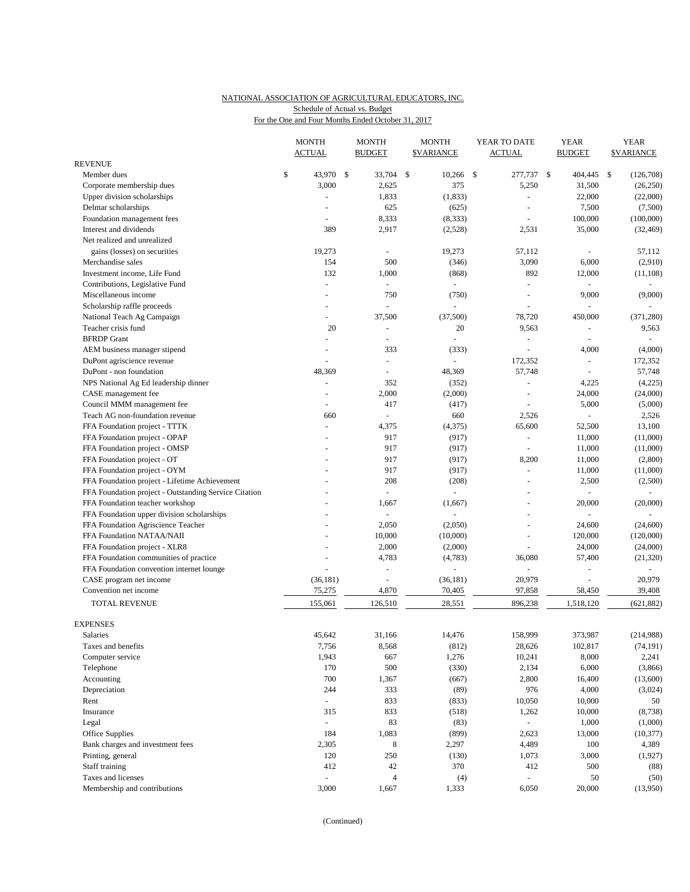## NATIONAL ASSOCIATION OF AGRICULTURAL EDUCATORS, INC. Schedule of Actual vs. Budget

For the One and Four Months Ended October 31, 2017

|                                                       |    | <b>MONTH</b><br><b>ACTUAL</b> |  | <b>MONTH</b><br><b>BUDGET</b> |              | <b>MONTH</b><br><b>\$VARIANCE</b> | YEAR TO DATE<br><b>ACTUAL</b> |                          |              | <b>YEAR</b><br><b>BUDGET</b> | <b>YEAR</b><br><b><i>SVARIANCE</i></b> |            |
|-------------------------------------------------------|----|-------------------------------|--|-------------------------------|--------------|-----------------------------------|-------------------------------|--------------------------|--------------|------------------------------|----------------------------------------|------------|
| <b>REVENUE</b>                                        |    |                               |  |                               |              |                                   |                               |                          |              |                              |                                        |            |
| Member dues                                           | \$ | 43,970 \$                     |  | 33,704                        | $\mathbb{S}$ | 10,266                            | -\$                           | 277,737                  | $\mathbb{S}$ | 404,445                      | \$                                     | (126,708)  |
| Corporate membership dues                             |    | 3,000                         |  | 2,625                         |              | 375                               |                               | 5,250                    |              | 31,500                       |                                        | (26, 250)  |
| Upper division scholarships                           |    |                               |  | 1,833                         |              | (1, 833)                          |                               | ÷,                       |              | 22,000                       |                                        | (22,000)   |
| Delmar scholarships                                   |    |                               |  | 625                           |              | (625)                             |                               | L,                       |              | 7,500                        |                                        | (7,500)    |
| Foundation management fees                            |    | $\overline{a}$                |  | 8,333                         |              | (8, 333)                          |                               | ÷,                       |              | 100,000                      |                                        | (100,000)  |
| Interest and dividends                                |    | 389                           |  | 2,917                         |              | (2,528)                           |                               | 2,531                    |              | 35,000                       |                                        | (32, 469)  |
| Net realized and unrealized                           |    |                               |  |                               |              |                                   |                               |                          |              |                              |                                        |            |
| gains (losses) on securities                          |    | 19,273                        |  | ä,                            |              | 19,273                            |                               | 57,112                   |              | ÷,                           |                                        | 57,112     |
| Merchandise sales                                     |    | 154                           |  | 500                           |              | (346)                             |                               | 3,090                    |              | 6,000                        |                                        | (2,910)    |
| Investment income, Life Fund                          |    | 132                           |  | 1,000                         |              | (868)                             |                               | 892                      |              | 12,000                       |                                        | (11, 108)  |
| Contributions, Legislative Fund                       |    | ÷,                            |  | $\overline{\phantom{a}}$      |              |                                   |                               | ÷,                       |              |                              |                                        |            |
| Miscellaneous income                                  |    | $\overline{a}$                |  | 750                           |              | (750)                             |                               | L,                       |              | 9,000                        |                                        | (9,000)    |
| Scholarship raffle proceeds                           |    | $\overline{a}$                |  |                               |              |                                   |                               |                          |              |                              |                                        |            |
| National Teach Ag Campaign                            |    | ä,                            |  | 37,500                        |              | (37,500)                          |                               | 78,720                   |              | 450,000                      |                                        | (371, 280) |
| Teacher crisis fund                                   |    | 20                            |  | $\blacksquare$                |              | 20                                |                               | 9,563                    |              | ÷,                           |                                        | 9,563      |
| <b>BFRDP</b> Grant                                    |    | $\blacksquare$                |  | ä,                            |              |                                   |                               | ÷,                       |              | L.                           |                                        | $\sim$     |
| AEM business manager stipend                          |    | L.                            |  | 333                           |              | (333)                             |                               | L.                       |              | 4,000                        |                                        | (4,000)    |
| DuPont agriscience revenue                            |    |                               |  | $\blacksquare$                |              |                                   |                               | 172,352                  |              | $\blacksquare$               |                                        | 172,352    |
| DuPont - non foundation                               |    | 48,369                        |  | ÷                             |              | 48,369                            |                               | 57,748                   |              |                              |                                        | 57,748     |
| NPS National Ag Ed leadership dinner                  |    | ä,                            |  | 352                           |              | (352)                             |                               | $\overline{\phantom{a}}$ |              | 4,225                        |                                        | (4,225)    |
| CASE management fee                                   |    |                               |  | 2,000                         |              | (2,000)                           |                               | ÷,                       |              | 24,000                       |                                        | (24,000)   |
| Council MMM management fee                            |    | ÷                             |  | 417                           |              | (417)                             |                               | $\overline{a}$           |              | 5,000                        |                                        | (5,000)    |
| Teach AG non-foundation revenue                       |    | 660                           |  | $\blacksquare$                |              | 660                               |                               | 2,526                    |              |                              |                                        | 2,526      |
| FFA Foundation project - TTTK                         |    | $\overline{\phantom{a}}$      |  | 4,375                         |              | (4,375)                           |                               | 65,600                   |              | 52,500                       |                                        | 13,100     |
| FFA Foundation project - OPAP                         |    |                               |  | 917                           |              | (917)                             |                               | $\blacksquare$           |              | 11,000                       |                                        | (11,000)   |
| FFA Foundation project - OMSP                         |    |                               |  | 917                           |              | (917)                             |                               |                          |              | 11,000                       |                                        | (11,000)   |
| FFA Foundation project - OT                           |    |                               |  | 917                           |              | (917)                             |                               | 8,200                    |              | 11,000                       |                                        | (2,800)    |
| FFA Foundation project - OYM                          |    |                               |  | 917                           |              | (917)                             |                               | $\omega$                 |              | 11,000                       |                                        | (11,000)   |
| FFA Foundation project - Lifetime Achievement         |    |                               |  | 208                           |              | (208)                             |                               |                          |              | 2,500                        |                                        | (2,500)    |
| FFA Foundation project - Outstanding Service Citation |    |                               |  | $\omega$                      |              | $\omega$                          |                               |                          |              | L.                           |                                        |            |
| FFA Foundation teacher workshop                       |    |                               |  | 1,667                         |              | (1,667)                           |                               |                          |              | 20,000                       |                                        | (20,000)   |
| FFA Foundation upper division scholarships            |    |                               |  | ÷                             |              |                                   |                               | $\overline{a}$           |              | L.                           |                                        | $\sim$     |
| FFA Foundation Agriscience Teacher                    |    |                               |  | 2,050                         |              | (2,050)                           |                               |                          |              | 24,600                       |                                        | (24,600)   |
| FFA Foundation NATAA/NAII                             |    |                               |  | 10,000                        |              | (10,000)                          |                               | ÷,                       |              | 120,000                      |                                        | (120,000)  |
| FFA Foundation project - XLR8                         |    |                               |  | 2,000                         |              | (2,000)                           |                               | ÷,                       |              | 24,000                       |                                        | (24,000)   |
| FFA Foundation communities of practice                |    |                               |  | 4,783                         |              | (4,783)                           |                               | 36,080                   |              | 57,400                       |                                        | (21, 320)  |
| FFA Foundation convention internet lounge             |    | ÷,                            |  | ÷,                            |              |                                   |                               | $\sim$                   |              | ä,                           |                                        | $\sim$     |
| CASE program net income                               |    | (36, 181)                     |  | $\overline{\phantom{a}}$      |              | (36, 181)                         |                               | 20,979                   |              |                              |                                        | 20,979     |
| Convention net income                                 |    | 75,275                        |  | 4,870                         |              | 70,405                            |                               | 97,858                   |              | 58,450                       |                                        | 39,408     |
| TOTAL REVENUE                                         |    | 155,061                       |  | 126,510                       |              | 28,551                            |                               | 896,238                  |              | 1,518,120                    |                                        | (621, 882) |
|                                                       |    |                               |  |                               |              |                                   |                               |                          |              |                              |                                        |            |
| <b>EXPENSES</b>                                       |    |                               |  |                               |              |                                   |                               |                          |              |                              |                                        |            |
| Salaries                                              |    | 45,642                        |  | 31,166                        |              | 14,476                            |                               | 158,999                  |              | 373,987                      |                                        | (214,988)  |
| Taxes and benefits                                    |    | 7,756                         |  | 8,568                         |              | (812)                             |                               | 28,626                   |              | 102,817                      |                                        | (74, 191)  |
| Computer service                                      |    | 1,943                         |  | 667                           |              | 1,276                             |                               | 10,241                   |              | 8,000                        |                                        | 2,241      |
| Telephone                                             |    | 170                           |  | 500                           |              | (330)                             |                               | 2,134                    |              | 6,000                        |                                        | (3,866)    |
| Accounting                                            |    | 700                           |  | 1,367                         |              | (667)                             |                               | 2,800                    |              | 16,400                       |                                        | (13,600)   |
| Depreciation                                          |    | 244                           |  | 333                           |              | (89)                              |                               | 976                      |              | 4,000                        |                                        | (3,024)    |
| Rent                                                  |    | ÷.                            |  | 833                           |              | (833)                             |                               | 10,050                   |              | 10,000                       |                                        | 50         |
| Insurance                                             |    | 315                           |  | 833                           |              | (518)                             |                               | 1,262                    |              | 10,000                       |                                        | (8,738)    |
| Legal                                                 |    | ä,                            |  | 83                            |              | (83)                              |                               |                          |              | 1,000                        |                                        | (1,000)    |
| Office Supplies                                       |    | 184                           |  | 1,083                         |              | (899)                             |                               | 2,623                    |              | 13,000                       |                                        | (10, 377)  |
| Bank charges and investment fees                      |    | 2,305                         |  | 8                             |              | 2,297                             |                               | 4,489                    |              | 100                          |                                        | 4,389      |
| Printing, general                                     |    | 120                           |  | 250                           |              | (130)                             |                               | 1,073                    |              | 3,000                        |                                        | (1,927)    |
| Staff training                                        |    | 412                           |  | $42\,$                        |              | 370                               |                               | 412                      |              | 500                          |                                        | (88)       |
| Taxes and licenses                                    |    |                               |  | $\overline{4}$                |              | (4)                               |                               |                          |              | 50                           |                                        | (50)       |
| Membership and contributions                          |    | 3,000                         |  | 1,667                         |              | 1,333                             |                               | 6,050                    |              | 20,000                       |                                        | (13,950)   |

(Continued)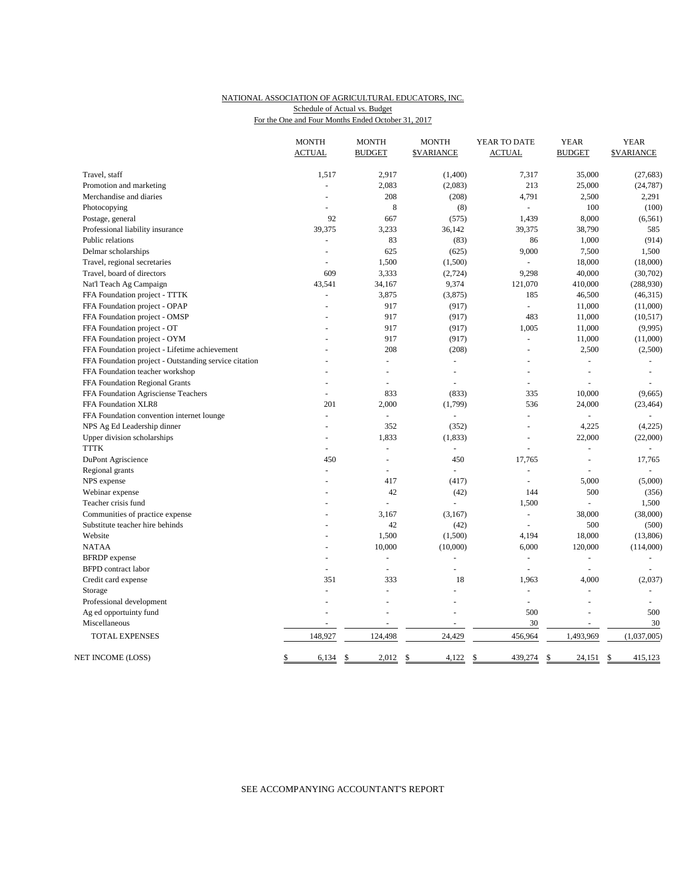## NATIONAL ASSOCIATION OF AGRICULTURAL EDUCATORS, INC. Schedule of Actual vs. Budget

For the One and Four Months Ended October 31, 2017

|                                                       | <b>MONTH</b><br><b>ACTUAL</b> | <b>MONTH</b><br><b>BUDGET</b> | <b>MONTH</b><br><b><i>SVARIANCE</i></b> | YEAR TO DATE<br><b>ACTUAL</b> | <b>YEAR</b><br><b>BUDGET</b> | <b>YEAR</b><br><b>SVARIANCE</b> |
|-------------------------------------------------------|-------------------------------|-------------------------------|-----------------------------------------|-------------------------------|------------------------------|---------------------------------|
| Travel, staff                                         | 1,517                         | 2,917                         | (1,400)                                 | 7,317                         | 35,000                       | (27, 683)                       |
| Promotion and marketing                               |                               | 2,083                         | (2,083)                                 | 213                           | 25,000                       | (24, 787)                       |
| Merchandise and diaries                               |                               | 208                           | (208)                                   | 4,791                         | 2,500                        | 2,291                           |
| Photocopying                                          | $\overline{\phantom{a}}$      | 8                             | (8)                                     | $\equiv$                      | 100                          | (100)                           |
| Postage, general                                      | 92                            | 667                           | (575)                                   | 1,439                         | 8,000                        | (6, 561)                        |
| Professional liability insurance                      | 39,375                        | 3,233                         | 36,142                                  | 39,375                        | 38,790                       | 585                             |
| Public relations                                      |                               | 83                            | (83)                                    | 86                            | 1,000                        | (914)                           |
| Delmar scholarships                                   |                               | 625                           | (625)                                   | 9,000                         | 7,500                        | 1,500                           |
| Travel, regional secretaries                          | ÷                             | 1,500                         | (1,500)                                 | $\overline{a}$                | 18,000                       | (18,000)                        |
| Travel, board of directors                            | 609                           | 3,333                         | (2,724)                                 | 9,298                         | 40,000                       | (30, 702)                       |
| Nat'l Teach Ag Campaign                               | 43,541                        | 34,167                        | 9,374                                   | 121,070                       | 410,000                      | (288,930)                       |
| FFA Foundation project - TTTK                         |                               | 3,875                         | (3,875)                                 | 185                           | 46,500                       | (46,315)                        |
| FFA Foundation project - OPAP                         |                               | 917                           | (917)                                   | $\overline{a}$                | 11,000                       | (11,000)                        |
| FFA Foundation project - OMSP                         |                               | 917                           | (917)                                   | 483                           | 11,000                       | (10,517)                        |
| FFA Foundation project - OT                           |                               | 917                           | (917)                                   | 1,005                         | 11,000                       | (9,995)                         |
| FFA Foundation project - OYM                          |                               | 917                           | (917)                                   | $\overline{a}$                | 11,000                       | (11,000)                        |
| FFA Foundation project - Lifetime achievement         |                               | 208                           | (208)                                   |                               | 2,500                        | (2,500)                         |
| FFA Foundation project - Outstanding service citation |                               | $\overline{a}$                | $\sim$                                  |                               | $\overline{a}$               | $\sim$                          |
| FFA Foundation teacher workshop                       |                               | ۳                             | ÷                                       |                               | ÷                            |                                 |
| FFA Foundation Regional Grants                        |                               | L,                            | L,                                      | ÷,                            |                              |                                 |
| FFA Foundation Agrisciense Teachers                   | $\overline{a}$                | 833                           | (833)                                   | 335                           | 10,000                       | (9,665)                         |
| FFA Foundation XLR8                                   | 201                           | 2,000                         | (1,799)                                 | 536                           | 24,000                       | (23, 464)                       |
| FFA Foundation convention internet lounge             | L.                            | $\overline{a}$                | $\overline{a}$                          | $\overline{a}$                | L                            |                                 |
| NPS Ag Ed Leadership dinner                           |                               | 352                           | (352)                                   | L,                            | 4,225                        | (4,225)                         |
| Upper division scholarships                           |                               | 1,833                         | (1, 833)                                | ÷,                            | 22,000                       | (22,000)                        |
| <b>TTTK</b>                                           | $\blacksquare$                | ÷,                            | $\blacksquare$                          | L,                            | $\overline{\phantom{a}}$     | $\sim$                          |
| DuPont Agriscience                                    | 450                           | L,                            | 450                                     | 17,765                        |                              | 17,765                          |
| Regional grants                                       | L.                            | $\overline{a}$                | $\overline{a}$                          | ÷,                            |                              |                                 |
| NPS expense                                           |                               | 417                           | (417)                                   | $\overline{a}$                | 5,000                        | (5,000)                         |
| Webinar expense                                       |                               | 42                            | (42)                                    | 144                           | 500                          | (356)                           |
| Teacher crisis fund                                   |                               | $\overline{a}$                | $\overline{a}$                          | 1,500                         | ÷,                           | 1,500                           |
| Communities of practice expense                       |                               | 3,167                         | (3,167)                                 | ÷,                            | 38,000                       | (38,000)                        |
| Substitute teacher hire behinds                       |                               | 42                            | (42)                                    | L.                            | 500                          | (500)                           |
| Website                                               |                               | 1,500                         | (1,500)                                 | 4,194                         | 18,000                       | (13,806)                        |
| <b>NATAA</b>                                          |                               | 10,000                        | (10,000)                                | 6,000                         | 120,000                      | (114,000)                       |
| <b>BFRDP</b> expense                                  |                               | $\overline{a}$                | ä,                                      | $\overline{a}$                | $\overline{a}$               | $\sim$                          |
| <b>BFPD</b> contract labor                            | $\overline{\phantom{a}}$      | $\overline{\phantom{a}}$      | L,                                      | $\overline{a}$                | ÷,                           |                                 |
| Credit card expense                                   | 351                           | 333                           | 18                                      | 1,963                         | 4,000                        | (2,037)                         |
| Storage                                               | $\overline{a}$                | $\overline{a}$                |                                         | $\overline{a}$                | $\overline{a}$               |                                 |
| Professional development                              |                               |                               |                                         | ÷,                            |                              |                                 |
| Ag ed opportuinty fund                                |                               | L,                            | L,                                      | 500                           | L.                           | 500                             |
| Miscellaneous                                         |                               |                               |                                         | 30                            |                              | 30                              |
| TOTAL EXPENSES                                        | 148,927                       | 124,498                       | 24,429                                  | 456,964                       | 1,493,969                    | (1,037,005)                     |
| NET INCOME (LOSS)                                     | \$<br>6,134                   | $\mathbb{S}$<br>2,012         | \$<br>4,122                             | \$<br>439,274                 | \$<br>24,151 \$              | 415,123                         |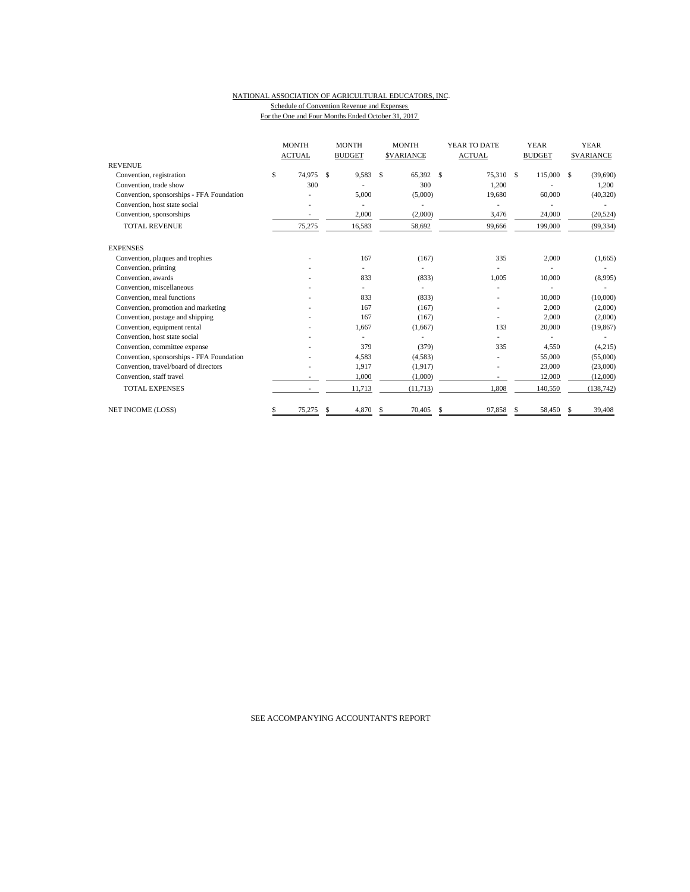#### NATIONAL ASSOCIATION OF AGRICULTURAL EDUCATORS, INC. Schedule of Convention Revenue and Expenses For the One and Four Months Ended October 31, 2017

|                                           | <b>MONTH</b><br><b>ACTUAL</b> |    | <b>MONTH</b><br><b>BUDGET</b> |    | <b>MONTH</b><br><b>SVARIANCE</b> | YEAR TO DATE<br><b>ACTUAL</b> |    | <b>YEAR</b><br><b>BUDGET</b> |    | <b>YEAR</b><br><b>SVARIANCE</b> |
|-------------------------------------------|-------------------------------|----|-------------------------------|----|----------------------------------|-------------------------------|----|------------------------------|----|---------------------------------|
| <b>REVENUE</b>                            |                               |    |                               |    |                                  |                               |    |                              |    |                                 |
| Convention, registration                  | \$<br>74.975                  | \$ | 9,583                         | \$ | 65,392 \$                        | 75,310 \$                     |    | 115,000                      | \$ | (39,690)                        |
| Convention, trade show                    | 300                           |    |                               |    | 300                              | 1,200                         |    |                              |    | 1,200                           |
| Convention, sponsorships - FFA Foundation |                               |    | 5,000                         |    | (5,000)                          | 19,680                        |    | 60,000                       |    | (40, 320)                       |
| Convention, host state social             |                               |    |                               |    |                                  |                               |    |                              |    |                                 |
| Convention, sponsorships                  |                               |    | 2,000                         |    | (2,000)                          | 3,476                         |    | 24,000                       |    | (20, 524)                       |
| <b>TOTAL REVENUE</b>                      | 75,275                        |    | 16,583                        |    | 58,692                           | 99,666                        |    | 199,000                      |    | (99, 334)                       |
| <b>EXPENSES</b>                           |                               |    |                               |    |                                  |                               |    |                              |    |                                 |
| Convention, plaques and trophies          |                               |    | 167                           |    | (167)                            | 335                           |    | 2,000                        |    | (1,665)                         |
| Convention, printing                      |                               |    |                               |    |                                  |                               |    |                              |    |                                 |
| Convention, awards                        |                               |    | 833                           |    | (833)                            | 1,005                         |    | 10,000                       |    | (8,995)                         |
| Convention, miscellaneous                 |                               |    |                               |    |                                  |                               |    |                              |    |                                 |
| Convention, meal functions                |                               |    | 833                           |    | (833)                            |                               |    | 10,000                       |    | (10,000)                        |
| Convention, promotion and marketing       |                               |    | 167                           |    | (167)                            |                               |    | 2,000                        |    | (2,000)                         |
| Convention, postage and shipping          |                               |    | 167                           |    | (167)                            |                               |    | 2,000                        |    | (2,000)                         |
| Convention, equipment rental              |                               |    | 1,667                         |    | (1,667)                          | 133                           |    | 20,000                       |    | (19, 867)                       |
| Convention, host state social             |                               |    |                               |    |                                  |                               |    |                              |    |                                 |
| Convention, committee expense             |                               |    | 379                           |    | (379)                            | 335                           |    | 4,550                        |    | (4,215)                         |
| Convention, sponsorships - FFA Foundation |                               |    | 4,583                         |    | (4,583)                          |                               |    | 55,000                       |    | (55,000)                        |
| Convention, travel/board of directors     |                               |    | 1,917                         |    | (1, 917)                         |                               |    | 23,000                       |    | (23,000)                        |
| Convention, staff travel                  |                               |    | 1,000                         |    | (1,000)                          | $\overline{a}$                |    | 12,000                       |    | (12,000)                        |
| <b>TOTAL EXPENSES</b>                     |                               |    | 11,713                        |    | (11, 713)                        | 1,808                         |    | 140,550                      |    | (138, 742)                      |
| NET INCOME (LOSS)                         | \$<br>75,275                  | S  | 4,870                         | S  | 70,405                           | \$<br>97,858                  | -S | 58,450                       | S  | 39,408                          |